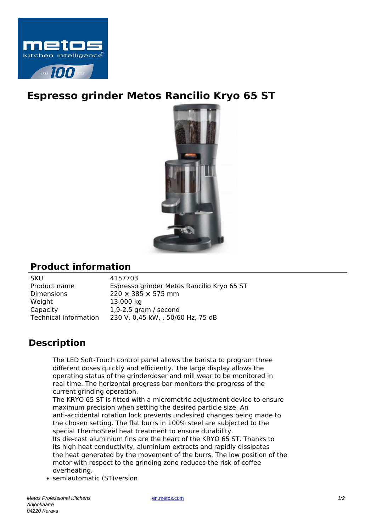

## **Espresso grinder Metos Rancilio Kryo 65 ST**



## **Product information**

SKU 4157703 Dimensions  $220 \times 385 \times 575$  mm Weight 13,000 kg Capacity 1,9-2,5 gram / second

Product name Espresso grinder Metos Rancilio Kryo 65 ST Technical information 230 V, 0,45 kW, , 50/60 Hz, 75 dB

## **Description**

The LED Soft-Touch control panel allows the barista to program three different doses quickly and efficiently. The large display allows the operating status of the grinderdoser and mill wear to be monitored in real time. The horizontal progress bar monitors the progress of the current grinding operation.

The KRYO 65 ST is fitted with a micrometric adjustment device to ensure maximum precision when setting the desired particle size. An anti-accidental rotation lock prevents undesired changes being made to the chosen setting. The flat burrs in 100% steel are subjected to the special ThermoSteel heat treatment to ensure durability. Its die-cast aluminium fins are the heart of the KRYO 65 ST. Thanks to its high heat conductivity, aluminium extracts and rapidly dissipates the heat generated by the movement of the burrs. The low position of the motor with respect to the grinding zone reduces the risk of coffee overheating.

• semiautomatic (ST)version